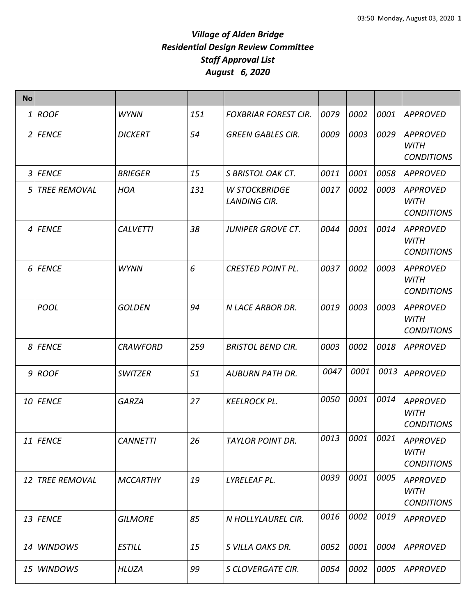| <b>No</b> |                     |                 |     |                                             |      |      |      |                                                     |
|-----------|---------------------|-----------------|-----|---------------------------------------------|------|------|------|-----------------------------------------------------|
| 1         | <b>ROOF</b>         | <b>WYNN</b>     | 151 | <b>FOXBRIAR FOREST CIR.</b>                 | 0079 | 0002 | 0001 | <b>APPROVED</b>                                     |
|           | 2 FENCE             | <b>DICKERT</b>  | 54  | <b>GREEN GABLES CIR.</b>                    | 0009 | 0003 | 0029 | <b>APPROVED</b><br><b>WITH</b><br><b>CONDITIONS</b> |
|           | 3 FENCE             | <b>BRIEGER</b>  | 15  | S BRISTOL OAK CT.                           | 0011 | 0001 | 0058 | <b>APPROVED</b>                                     |
| 5         | <b>TREE REMOVAL</b> | <b>HOA</b>      | 131 | <b>W STOCKBRIDGE</b><br><b>LANDING CIR.</b> | 0017 | 0002 | 0003 | <b>APPROVED</b><br><b>WITH</b><br><b>CONDITIONS</b> |
|           | 4 FENCE             | <b>CALVETTI</b> | 38  | <b>JUNIPER GROVE CT.</b>                    | 0044 | 0001 | 0014 | <b>APPROVED</b><br><b>WITH</b><br><b>CONDITIONS</b> |
|           | 6 FENCE             | <b>WYNN</b>     | 6   | <b>CRESTED POINT PL.</b>                    | 0037 | 0002 | 0003 | <b>APPROVED</b><br><b>WITH</b><br><b>CONDITIONS</b> |
|           | <b>POOL</b>         | <b>GOLDEN</b>   | 94  | <b>N LACE ARBOR DR.</b>                     | 0019 | 0003 | 0003 | <b>APPROVED</b><br><b>WITH</b><br><b>CONDITIONS</b> |
|           | 8 FENCE             | <b>CRAWFORD</b> | 259 | <b>BRISTOL BEND CIR.</b>                    | 0003 | 0002 | 0018 | <b>APPROVED</b>                                     |
|           | $9$ ROOF            | <b>SWITZER</b>  | 51  | <b>AUBURN PATH DR.</b>                      | 0047 | 0001 | 0013 | <b>APPROVED</b>                                     |
|           | 10 FENCE            | <b>GARZA</b>    | 27  | <b>KEELROCK PL.</b>                         | 0050 | 0001 | 0014 | <b>APPROVED</b><br><b>WITH</b><br><b>CONDITIONS</b> |
|           | 11 FENCE            | <b>CANNETTI</b> | 26  | TAYLOR POINT DR.                            | 0013 | 0001 | 0021 | <b>APPROVED</b><br><b>WITH</b><br><b>CONDITIONS</b> |
|           | 12 TREE REMOVAL     | <b>MCCARTHY</b> | 19  | LYRELEAF PL.                                | 0039 | 0001 | 0005 | <b>APPROVED</b><br><b>WITH</b><br><b>CONDITIONS</b> |
|           | $13$ FENCE          | <b>GILMORE</b>  | 85  | N HOLLYLAUREL CIR.                          | 0016 | 0002 | 0019 | <b>APPROVED</b>                                     |
| 14 I      | <b>WINDOWS</b>      | <b>ESTILL</b>   | 15  | S VILLA OAKS DR.                            | 0052 | 0001 | 0004 | <b>APPROVED</b>                                     |
| 15        | <b>WINDOWS</b>      | HLUZA           | 99  | S CLOVERGATE CIR.                           | 0054 | 0002 | 0005 | <b>APPROVED</b>                                     |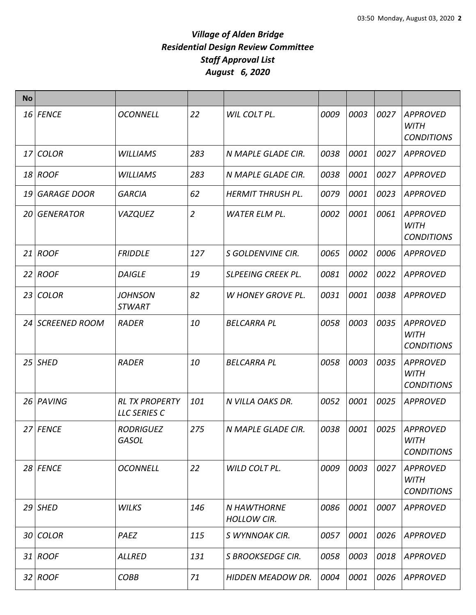| <b>No</b> |                    |                                       |                |                                          |      |      |      |                                                     |
|-----------|--------------------|---------------------------------------|----------------|------------------------------------------|------|------|------|-----------------------------------------------------|
|           | 16 FENCE           | <b>OCONNELL</b>                       | 22             | WIL COLT PL.                             | 0009 | 0003 | 0027 | APPROVED<br><b>WITH</b><br><b>CONDITIONS</b>        |
| 17        | <b>COLOR</b>       | WILLIAMS                              | 283            | N MAPLE GLADE CIR.                       | 0038 | 0001 | 0027 | <b>APPROVED</b>                                     |
|           | 18 ROOF            | <b>WILLIAMS</b>                       | 283            | N MAPLE GLADE CIR.                       | 0038 | 0001 | 0027 | <b>APPROVED</b>                                     |
| 19        | <b>GARAGE DOOR</b> | <b>GARCIA</b>                         | 62             | <b>HERMIT THRUSH PL.</b>                 | 0079 | 0001 | 0023 | <b>APPROVED</b>                                     |
| 20        | <b>GENERATOR</b>   | <b>VAZQUEZ</b>                        | $\overline{2}$ | <b>WATER ELM PL.</b>                     | 0002 | 0001 | 0061 | <b>APPROVED</b><br><b>WITH</b><br><b>CONDITIONS</b> |
|           | $21$ ROOF          | <b>FRIDDLE</b>                        | 127            | <b>S GOLDENVINE CIR.</b>                 | 0065 | 0002 | 0006 | <b>APPROVED</b>                                     |
|           | $22$ ROOF          | <b>DAIGLE</b>                         | 19             | <b>SLPEEING CREEK PL.</b>                | 0081 | 0002 | 0022 | <b>APPROVED</b>                                     |
|           | $23$ COLOR         | <b>JOHNSON</b><br><b>STWART</b>       | 82             | <b>W HONEY GROVE PL.</b>                 | 0031 | 0001 | 0038 | APPROVED                                            |
|           | 24 SCREENED ROOM   | <b>RADER</b>                          | 10             | <b>BELCARRA PL</b>                       | 0058 | 0003 | 0035 | <b>APPROVED</b><br><b>WITH</b><br><b>CONDITIONS</b> |
|           | 25 SHED            | <b>RADER</b>                          | 10             | <b>BELCARRA PL</b>                       | 0058 | 0003 | 0035 | APPROVED<br><b>WITH</b><br><b>CONDITIONS</b>        |
|           | 26 PAVING          | <b>RL TX PROPERTY</b><br>LLC SERIES C | 101            | N VILLA OAKS DR.                         | 0052 | 0001 | 0025 | <b>APPROVED</b>                                     |
|           | 27 FENCE           | <b>RODRIGUEZ</b><br>GASOL             | 275            | N MAPLE GLADE CIR.                       | 0038 | 0001 | 0025 | <b>APPROVED</b><br><b>WITH</b><br><b>CONDITIONS</b> |
|           | 28 FENCE           | <b>OCONNELL</b>                       | 22             | WILD COLT PL.                            | 0009 | 0003 | 0027 | APPROVED<br><b>WITH</b><br><b>CONDITIONS</b>        |
|           | 29 SHED            | <b>WILKS</b>                          | 146            | <b>N HAWTHORNE</b><br><b>HOLLOW CIR.</b> | 0086 | 0001 | 0007 | APPROVED                                            |
|           | 30 COLOR           | PAEZ                                  | 115            | S WYNNOAK CIR.                           | 0057 | 0001 | 0026 | APPROVED                                            |
|           | 31 ROOF            | <b>ALLRED</b>                         | 131            | S BROOKSEDGE CIR.                        | 0058 | 0003 | 0018 | APPROVED                                            |
|           | $32$ ROOF          | <b>COBB</b>                           | 71             | <b>HIDDEN MEADOW DR.</b>                 | 0004 | 0001 | 0026 | APPROVED                                            |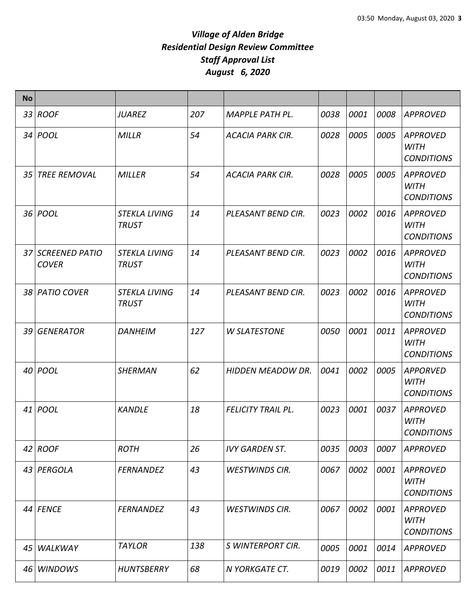| <b>No</b> |                                       |                                      |     |                           |      |      |      |                                                     |
|-----------|---------------------------------------|--------------------------------------|-----|---------------------------|------|------|------|-----------------------------------------------------|
|           | 33 ROOF                               | JUAREZ                               | 207 | <b>MAPPLE PATH PL.</b>    | 0038 | 0001 | 0008 | <b>APPROVED</b>                                     |
|           | 34 <i>POOL</i>                        | <b>MILLR</b>                         | 54  | <b>ACACIA PARK CIR.</b>   | 0028 | 0005 | 0005 | <b>APPROVED</b><br><b>WITH</b><br><b>CONDITIONS</b> |
| 35        | <b>TREE REMOVAL</b>                   | <b>MILLER</b>                        | 54  | <b>ACACIA PARK CIR.</b>   | 0028 | 0005 | 0005 | <b>APPROVED</b><br>WITH<br><b>CONDITIONS</b>        |
|           | 36 <i>POOL</i>                        | <b>STEKLA LIVING</b><br><b>TRUST</b> | 14  | PLEASANT BEND CIR.        | 0023 | 0002 | 0016 | APPROVED<br><b>WITH</b><br><b>CONDITIONS</b>        |
| 37        | <b>SCREENED PATIO</b><br><b>COVER</b> | <b>STEKLA LIVING</b><br><b>TRUST</b> | 14  | PLEASANT BEND CIR.        | 0023 | 0002 | 0016 | <b>APPROVED</b><br>WITH<br><b>CONDITIONS</b>        |
|           | 38 PATIO COVER                        | <i>STEKLA LIVING</i><br><b>TRUST</b> | 14  | PLEASANT BEND CIR.        | 0023 | 0002 | 0016 | <b>APPROVED</b><br><b>WITH</b><br><b>CONDITIONS</b> |
| 39        | <b>GENERATOR</b>                      | <b>DANHEIM</b>                       | 127 | <b>W SLATESTONE</b>       | 0050 | 0001 | 0011 | <b>APPROVED</b><br><b>WITH</b><br><b>CONDITIONS</b> |
|           | 40 <i>POOL</i>                        | <b>SHERMAN</b>                       | 62  | <b>HIDDEN MEADOW DR.</b>  | 0041 | 0002 | 0005 | <b>APPORVED</b><br><b>WITH</b><br><b>CONDITIONS</b> |
| 41        | <b>POOL</b>                           | <b>KANDLE</b>                        | 18  | <b>FELICITY TRAIL PL.</b> | 0023 | 0001 | 0037 | <b>APPROVED</b><br>WITH<br><b>CONDITIONS</b>        |
|           | $42$ ROOF                             | <b>ROTH</b>                          | 26  | <b>IVY GARDEN ST.</b>     | 0035 | 0003 | 0007 | APPROVED                                            |
|           | 43 PERGOLA                            | <b>FERNANDEZ</b>                     | 43  | <b>WESTWINDS CIR.</b>     | 0067 | 0002 | 0001 | <b>APPROVED</b><br><b>WITH</b><br><b>CONDITIONS</b> |
|           | 44 FENCE                              | <b>FERNANDEZ</b>                     | 43  | <b>WESTWINDS CIR.</b>     | 0067 | 0002 | 0001 | <b>APPROVED</b><br><b>WITH</b><br><b>CONDITIONS</b> |
| 45        | WALKWAY                               | <b>TAYLOR</b>                        | 138 | S WINTERPORT CIR.         | 0005 | 0001 | 0014 | <b>APPROVED</b>                                     |
| 46        | <b>WINDOWS</b>                        | <b>HUNTSBERRY</b>                    | 68  | N YORKGATE CT.            | 0019 | 0002 | 0011 | <b>APPROVED</b>                                     |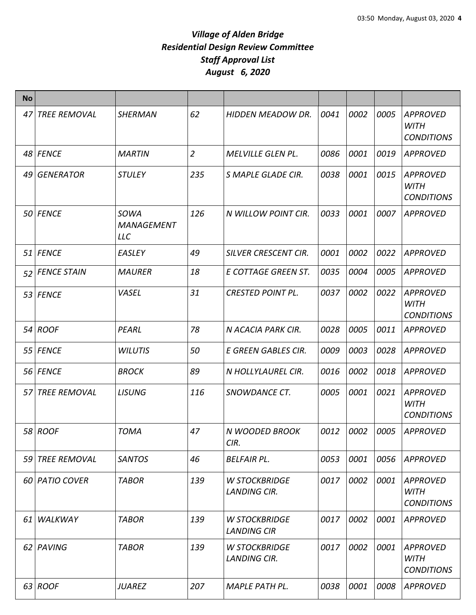| <b>No</b> |                     |                                                |                |                                             |      |      |      |                                                     |
|-----------|---------------------|------------------------------------------------|----------------|---------------------------------------------|------|------|------|-----------------------------------------------------|
| 47        | <b>TREE REMOVAL</b> | <b>SHERMAN</b>                                 | 62             | <b>HIDDEN MEADOW DR.</b>                    | 0041 | 0002 | 0005 | <b>APPROVED</b><br><b>WITH</b><br><b>CONDITIONS</b> |
|           | 48 FENCE            | <b>MARTIN</b>                                  | $\overline{2}$ | <b>MELVILLE GLEN PL.</b>                    | 0086 | 0001 | 0019 | <b>APPROVED</b>                                     |
| 49        | <b>GENERATOR</b>    | <b>STULEY</b>                                  | 235            | S MAPLE GLADE CIR.                          | 0038 | 0001 | 0015 | <b>APPROVED</b><br><b>WITH</b><br><b>CONDITIONS</b> |
|           | 50 FENCE            | <b>SOWA</b><br><b>MANAGEMENT</b><br><b>LLC</b> | 126            | N WILLOW POINT CIR.                         | 0033 | 0001 | 0007 | <b>APPROVED</b>                                     |
| 51        | <b>FENCE</b>        | EASLEY                                         | 49             | SILVER CRESCENT CIR.                        | 0001 | 0002 | 0022 | <b>APPROVED</b>                                     |
| 52        | <b>FENCE STAIN</b>  | <b>MAURER</b>                                  | 18             | E COTTAGE GREEN ST.                         | 0035 | 0004 | 0005 | <b>APPROVED</b>                                     |
|           | 53 FENCE            | <b>VASEL</b>                                   | 31             | <b>CRESTED POINT PL.</b>                    | 0037 | 0002 | 0022 | <b>APPROVED</b><br><b>WITH</b><br><b>CONDITIONS</b> |
|           | 54 ROOF             | PEARL                                          | 78             | N ACACIA PARK CIR.                          | 0028 | 0005 | 0011 | <b>APPROVED</b>                                     |
|           | 55 FENCE            | <b>WILUTIS</b>                                 | 50             | E GREEN GABLES CIR.                         | 0009 | 0003 | 0028 | <b>APPROVED</b>                                     |
|           | 56 FENCE            | <b>BROCK</b>                                   | 89             | N HOLLYLAUREL CIR.                          | 0016 | 0002 | 0018 | <b>APPROVED</b>                                     |
| 57        | <b>TREE REMOVAL</b> | <b>LISUNG</b>                                  | 116            | SNOWDANCE CT.                               | 0005 | 0001 | 0021 | <b>APPROVED</b><br><b>WITH</b><br><b>CONDITIONS</b> |
|           | 58 ROOF             | <b>TOMA</b>                                    | 47             | N WOODED BROOK<br>CIR.                      | 0012 | 0002 | 0005 | <b>APPROVED</b>                                     |
| 59        | <b>TREE REMOVAL</b> | <b>SANTOS</b>                                  | 46             | <b>BELFAIR PL.</b>                          | 0053 | 0001 | 0056 | <b>APPROVED</b>                                     |
|           | 60 PATIO COVER      | <b>TABOR</b>                                   | 139            | <b>W STOCKBRIDGE</b><br><b>LANDING CIR.</b> | 0017 | 0002 | 0001 | <b>APPROVED</b><br><b>WITH</b><br><b>CONDITIONS</b> |
| 61        | WALKWAY             | <b>TABOR</b>                                   | 139            | <b>W STOCKBRIDGE</b><br><b>LANDING CIR</b>  | 0017 | 0002 | 0001 | <b>APPROVED</b>                                     |
|           | 62 PAVING           | <b>TABOR</b>                                   | 139            | <b>W STOCKBRIDGE</b><br><b>LANDING CIR.</b> | 0017 | 0002 | 0001 | <b>APPROVED</b><br><b>WITH</b><br><b>CONDITIONS</b> |
|           | 63 ROOF             | <b>JUAREZ</b>                                  | 207            | <b>MAPLE PATH PL.</b>                       | 0038 | 0001 | 0008 | <b>APPROVED</b>                                     |